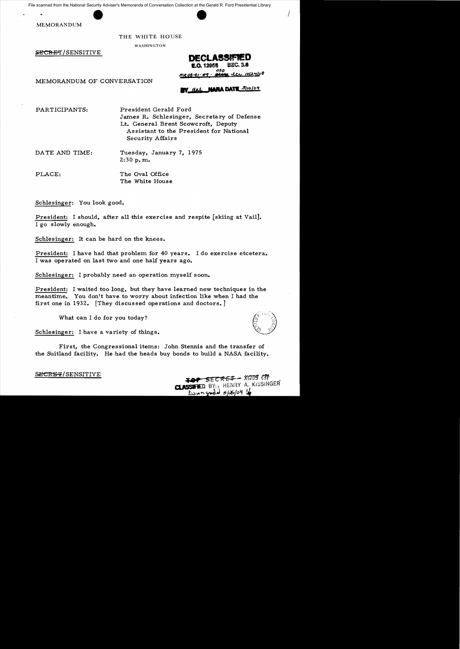File scanned from the National Security Adviser's Memoranda of Conversation Collection at the Gerald R. Ford Presidential Library

MEMORANDUM

## THE WHITE HOUSE

WASHINGTON

SECRET/SENSITIVE



I

MEMORANDUM OF CONVERSATION

W dal NARA DATE Sliolog

PARTICIPANTS: President Gerald Ford

James R. Schlesinger, Secretary of Defense Lt. General Brent Scowcroft, Deputy Assistant to the President for National Security Affairs

DATE AND TIME: Tuesday, January 7, 1975  $2:30$  p.m.

PLACE: The Oval Office The White House

Schlesinger: You look good.

President: I should, after all this exercise and respite [skiing at Vail]. I go slowly enough.

Schlesinger: It can be hard on the knees.

President: I have had that problem for 40 years. I do exercise etcetera. I was operated on last two and one half years ago.

Schlesinger: I probably need an operation myself soon.

President: I waited too long, but they have learned new techniques in the meantime. You don't have to worry about infection like when I had the first one in 1932. [They discussed operations and doctors. ]

What can I do for you today?

Schlesinger: I have a variety of things.

First, the Congressional items: John Stennis and the transfer of the Suitland facility. He had the heads buy bonds to build a NASA facility.

**SECRET/SENSITIVE MARKED SECRET AND SECRET AND SECRET ASSESSED ASSESSED ASSESSED ASSESSED ASSESSED ASSESSED AND A LOCAL CONSTANT OF A LOCAL CONSTANT OF A LOCAL CONSTANT OF A LOCAL CONSTANT OF A LOCAL CONSTANT OF A LOCAL CLASSIFIED.** BY: A HENRY A. KISSINGER Donngood 6/26/04 le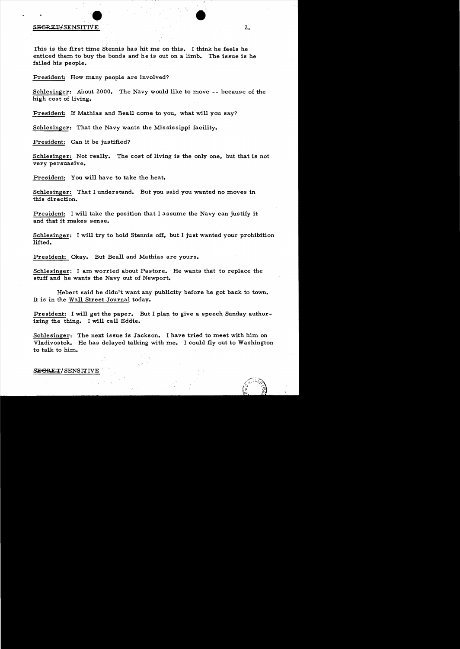## **EXECUTE:** SECRETIVE 2.

This is the first time Stennis has hit me on this. I think he feels he enticed them to buy the bonds and he is out on a limb. The issue is he failed his people.

President: How many people are involved?

Schlesinger: About 2000. The Navy would like to move -- because of the high cost of living.

President: If Mathias and Beall come to you, what will you say?

Schlesinger: That the Navy wants the Mississippi facility.

President: Can it be justified?

Schlesinger: Not really. The cost of living is the only one, but that is not very persuasive.

President: You will have to take the heat.

Schlesinger: That I understand. But you said you wanted no moves in this direction.

President: I will take the position that I assume the Navy can justify it and that it makes sense.

Schlesinger: I will try to hold Stennis off, but I just wanted your prohibition lifted.

President: Okay. But Beall and Mathias are yours.

Schlesinger: I am worried about Pastore. He wants that to replace the stuff and he wants the Navy out of Newport.

Hebert said he didn't want any publicity before he got back to town. It is in the Wall Street Journal today.

President: I will get the paper. But I plan to give a speech Sunday authorizing the thing. I will call Eddie.

Schlesinger: The next issue is Jackson. I have tried to meet with him on Vladivostok. He has delayed talking with me. I could fly out to Washington to talk to him.

SEGRET/SENSITIVE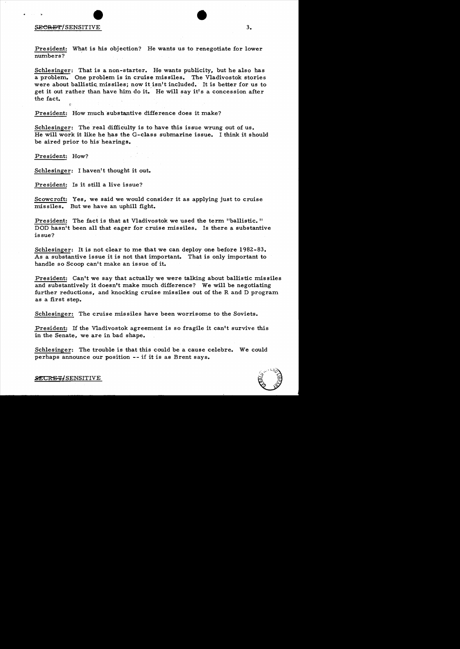President: What is his objection? He wants us to renegotiate for lower numbers?

Schlesinger: That is a non-starter. He wants publicity, but he also has a problem. One problem is in cruise missiles. The Vladivostok stories were about ballistic missiles; now it isn't included. It is better for us to get it out rather than have him do it. He will say it's a concession after the fact.

President: How much substantive difference does it make?

Schlesinger: The real difficulty is to have this issue wrung out of us. He will work it like he has the G-class submarine issue. I think it should be aired prior to his hearings.

President: How?

Schlesinger: I haven't thought it out.

President: Is it still a live issue?

Scowcroft: Yes, we said we would consider it as applying just to cruise missiles. But we have an uphill fight.

President: The fact is that at Vladivostok we used the term "ballistic." DOD hasn't been all that eager for cruise missiles. Is there a substantive is sue?

Schlesinger: It is not clear to me that we can deploy one before 1982-83. As a substantive issue it is not that important. That is only important to handle so Scoop can't make an issue of it.

President: Can't we say that actually we were talking about ballistic missiles and substantively it doesn't make much difference? We will be negotiating further reductions, and knocking cruise missiles out of the R and D program as a first step.

Schlesinger: The cruise missiles have been worrisome to the Soviets.

President: If the Vladivostok agreement is so fragile it can't survive this in the Senate, we are in bad shape.

Schlesinger: The trouble is that this could be a cause celebre. We could perhaps announce our position -- if it is as Brent says.

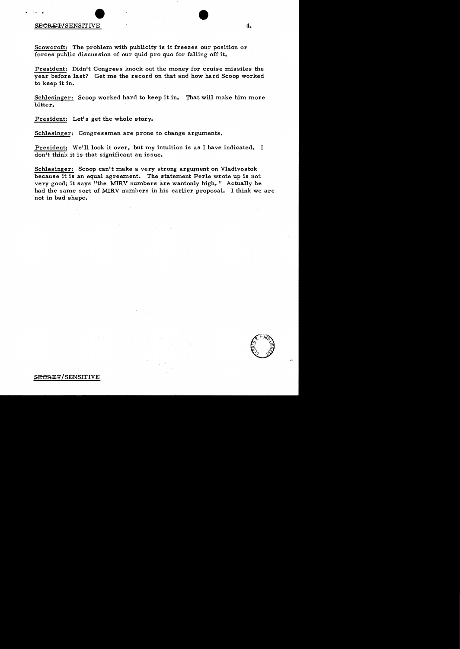## $\texttt{SECRE}$  +  $\texttt{SENSTITIVE}$  4.

,. ..

Scowcroft: The problem with publicity is it freezes our position or forces public discussion of our quid pro quo for falling off it.

President: Didn't Congress knock out the money for cruise missiles the year before last? Get me the record on that and how hard Scoop worked to keep it in.

Schlesinger: Scoop worked hard to keep it in. That will make him more bitter.

President: Let's get the whole story.

Schlesinger: Congressmen are prone to change arguments.

President: We'll look it over, but my intuition is as I have indicated. I don't think it is that significant an issue.

Schlesinger: Scoop can't make a very strong argument on Vladivostok because it is an equal agreement. The statement Perle wrote up is not very good; it says "the MIRV numbers are wantonly high." Actually he had the same sort of MIRV numbers in his earlier proposal. I think we are not in bad shape.

CE FURN

SECRET/SENSITIVE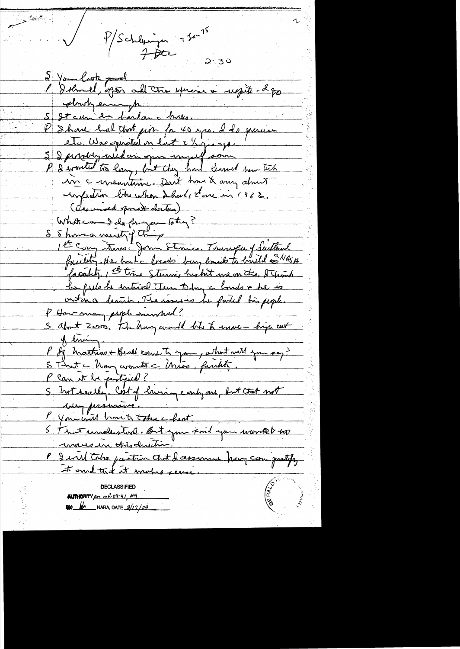P/Schleinen 7 Jan 75  $2.30$  $\lambda$  Your look pool 1 Ikmel, open all tre spraise aussite 2 gr S St cur en hardance huses. P I have hat that pir for 40 yrs. I do granis etc, Was spendtal on last a 12 pro spor S I pertohy wild an open myself som in concentaire. Desit hours any about confection bitre when I had, stone in 1938. ( dearward opened doctors) What can I do for your later ? S 8 howe a wounty things 1st Cong trons: John Stenies. Transfer of Suitland foundity. He has a location boug bound to build a NASA facality, et time Sternis his hit me on the & Trinh be fils he entired them to my a bonds & he is ontina hand, The issues he forted his people. P How may people manshved? S about Zoro, the hang would bit to mace - high cast of living Blum<br>P des Mathias + Beall court to your, what will you say? P Can it be pertipsed? S hot welly. Cost of hising continues, but that not Muy persuasive. P You will broute take a heat P I will take partien that I cessionne have comprehense AUTHORITY for mil 08-91, 49 **By 10** NARA, DATE  $8/17/09$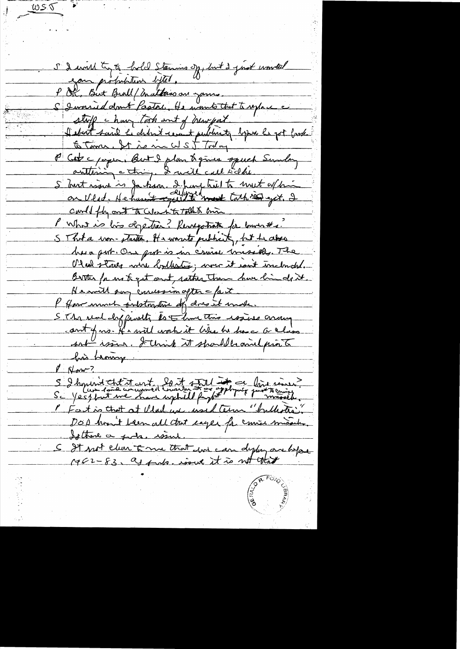S'I would try to hold Stemins of, but I just wonted eau pirbutaire defter. " S I was id don't fastal. He wants that to replace stoff change took and of hear put Hebert said hi didn't rement public to begun he got bask to Time. It is incel st Today P Cet c paper, But I plan to give speech Sunday authing a thing. I will call tidlie. S but ware is Jackson. I hung tril to mut a/hi could fly out to color into talk time Mont is bis depetien? Resugation for laurents. SThota won-starter, He wonto publicity, hit he also his a put. On put is in cruise missiels. The Otrel staves whe lodlestic; were it with inclouded. Birther for me to get and rather than how hinds it He will say concession after = fact P How much internative of dresst make. SThe search front is that this wais aroung cout of no. It's will work it When he have a class sort issue. I think it should be and print his hearing. & Norm-? S I hoperent that it are to the state of the ce laid comer P Fact is that at Vlad une used term "bullestre" DOD hom't been all that eager for course If those a gods. wind S It not clear 5 mm that and can deply are life 1962-83, as fuls, issue it is not that

ws T